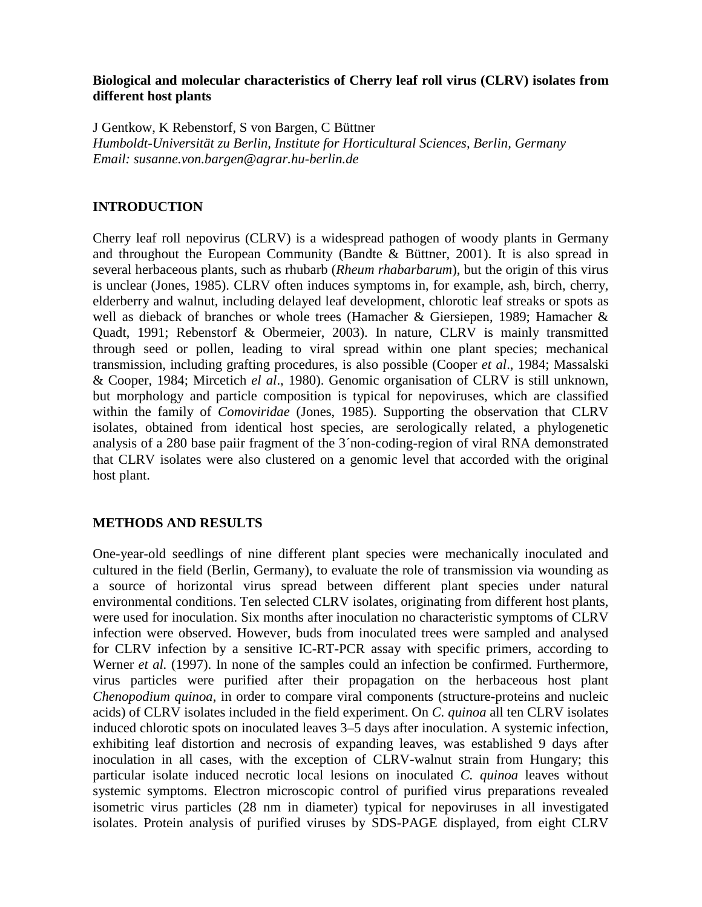## **Biological and molecular characteristics of Cherry leaf roll virus (CLRV) isolates from different host plants**

J Gentkow, K Rebenstorf, S von Bargen, C Büttner *Humboldt-Universität zu Berlin, Institute for Horticultural Sciences, Berlin, Germany Email: susanne.von.bargen@agrar.hu-berlin.de*

## **INTRODUCTION**

Cherry leaf roll nepovirus (CLRV) is a widespread pathogen of woody plants in Germany and throughout the European Community (Bandte & Büttner, 2001). It is also spread in several herbaceous plants, such as rhubarb (*Rheum rhabarbarum*), but the origin of this virus is unclear (Jones, 1985). CLRV often induces symptoms in, for example, ash, birch, cherry, elderberry and walnut, including delayed leaf development, chlorotic leaf streaks or spots as well as dieback of branches or whole trees (Hamacher & Giersiepen, 1989; Hamacher & Quadt, 1991; Rebenstorf & Obermeier, 2003). In nature, CLRV is mainly transmitted through seed or pollen, leading to viral spread within one plant species; mechanical transmission, including grafting procedures, is also possible (Cooper *et al*., 1984; Massalski & Cooper, 1984; Mircetich *el al*., 1980). Genomic organisation of CLRV is still unknown, but morphology and particle composition is typical for nepoviruses, which are classified within the family of *Comoviridae* (Jones, 1985). Supporting the observation that CLRV isolates, obtained from identical host species, are serologically related, a phylogenetic analysis of a 280 base paiir fragment of the 3´non-coding-region of viral RNA demonstrated that CLRV isolates were also clustered on a genomic level that accorded with the original host plant.

## **METHODS AND RESULTS**

One-year-old seedlings of nine different plant species were mechanically inoculated and cultured in the field (Berlin, Germany), to evaluate the role of transmission via wounding as a source of horizontal virus spread between different plant species under natural environmental conditions. Ten selected CLRV isolates, originating from different host plants, were used for inoculation. Six months after inoculation no characteristic symptoms of CLRV infection were observed. However, buds from inoculated trees were sampled and analysed for CLRV infection by a sensitive IC-RT-PCR assay with specific primers, according to Werner *et al.* (1997). In none of the samples could an infection be confirmed. Furthermore, virus particles were purified after their propagation on the herbaceous host plant *Chenopodium quinoa*, in order to compare viral components (structure-proteins and nucleic acids) of CLRV isolates included in the field experiment. On *C. quinoa* all ten CLRV isolates induced chlorotic spots on inoculated leaves 3–5 days after inoculation. A systemic infection, exhibiting leaf distortion and necrosis of expanding leaves, was established 9 days after inoculation in all cases, with the exception of CLRV-walnut strain from Hungary; this particular isolate induced necrotic local lesions on inoculated *C. quinoa* leaves without systemic symptoms. Electron microscopic control of purified virus preparations revealed isometric virus particles (28 nm in diameter) typical for nepoviruses in all investigated isolates. Protein analysis of purified viruses by SDS-PAGE displayed, from eight CLRV